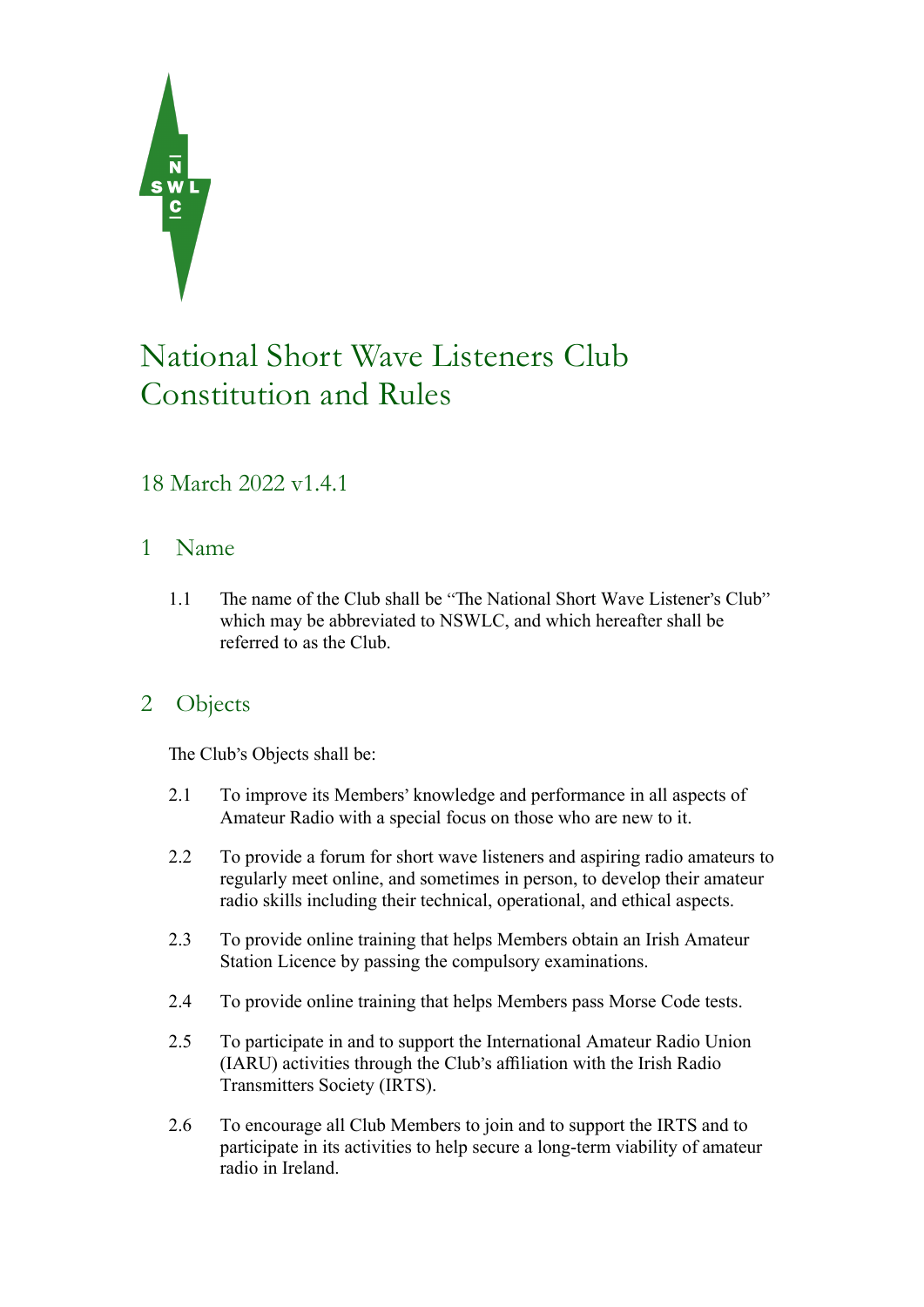

# National Short Wave Listeners Club Constitution and Rules

# 18 March 2022 v1.4.1

# 1 Name

1.1 The name of the Club shall be "The National Short Wave Listener's Club" which may be abbreviated to NSWLC, and which hereafter shall be referred to as the Club.

# 2 Objects

The Club's Objects shall be:

- 2.1 To improve its Members' knowledge and performance in all aspects of Amateur Radio with a special focus on those who are new to it.
- 2.2 To provide a forum for short wave listeners and aspiring radio amateurs to regularly meet online, and sometimes in person, to develop their amateur radio skills including their technical, operational, and ethical aspects.
- 2.3 To provide online training that helps Members obtain an Irish Amateur Station Licence by passing the compulsory examinations.
- 2.4 To provide online training that helps Members pass Morse Code tests.
- 2.5 To participate in and to support the International Amateur Radio Union (IARU) activities through the Club's affiliation with the Irish Radio Transmitters Society (IRTS).
- 2.6 To encourage all Club Members to join and to support the IRTS and to participate in its activities to help secure a long-term viability of amateur radio in Ireland.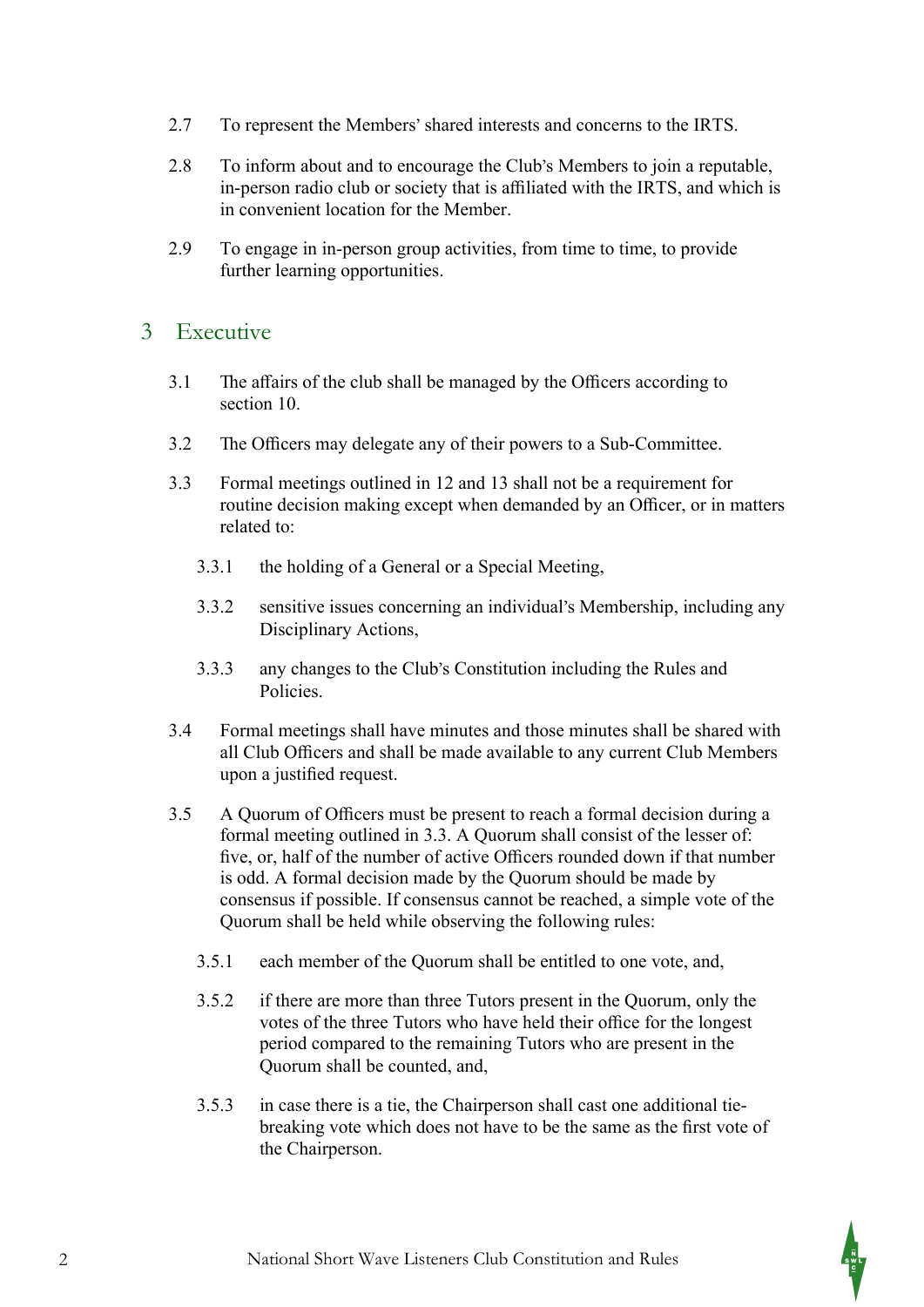- 2.7 To represent the Members' shared interests and concerns to the IRTS.
- 2.8 To inform about and to encourage the Club's Members to join a reputable, in-person radio club or society that is affiliated with the IRTS, and which is in convenient location for the Member.
- 2.9 To engage in in-person group activities, from time to time, to provide further learning opportunities.

#### 3 Executive

- 3.1 The affairs of the club shall be managed by the Officers according to section 10.
- 3.2 The Officers may delegate any of their powers to a Sub-Committee.
- 3.3 Formal meetings outlined in 12 and 13 shall not be a requirement for routine decision making except when demanded by an Officer, or in matters related to:
	- 3.3.1 the holding of a General or a Special Meeting,
	- 3.3.2 sensitive issues concerning an individual's Membership, including any Disciplinary Actions,
	- 3.3.3 any changes to the Club's Constitution including the Rules and **Policies**
- 3.4 Formal meetings shall have minutes and those minutes shall be shared with all Club Officers and shall be made available to any current Club Members upon a justified request.
- 3.5 A Quorum of Officers must be present to reach a formal decision during a formal meeting outlined in 3.3. A Quorum shall consist of the lesser of: five, or, half of the number of active Officers rounded down if that number is odd. A formal decision made by the Quorum should be made by consensus if possible. If consensus cannot be reached, a simple vote of the Quorum shall be held while observing the following rules:
	- 3.5.1 each member of the Quorum shall be entitled to one vote, and,
	- 3.5.2 if there are more than three Tutors present in the Quorum, only the votes of the three Tutors who have held their office for the longest period compared to the remaining Tutors who are present in the Quorum shall be counted, and,
	- 3.5.3 in case there is a tie, the Chairperson shall cast one additional tiebreaking vote which does not have to be the same as the first vote of the Chairperson.

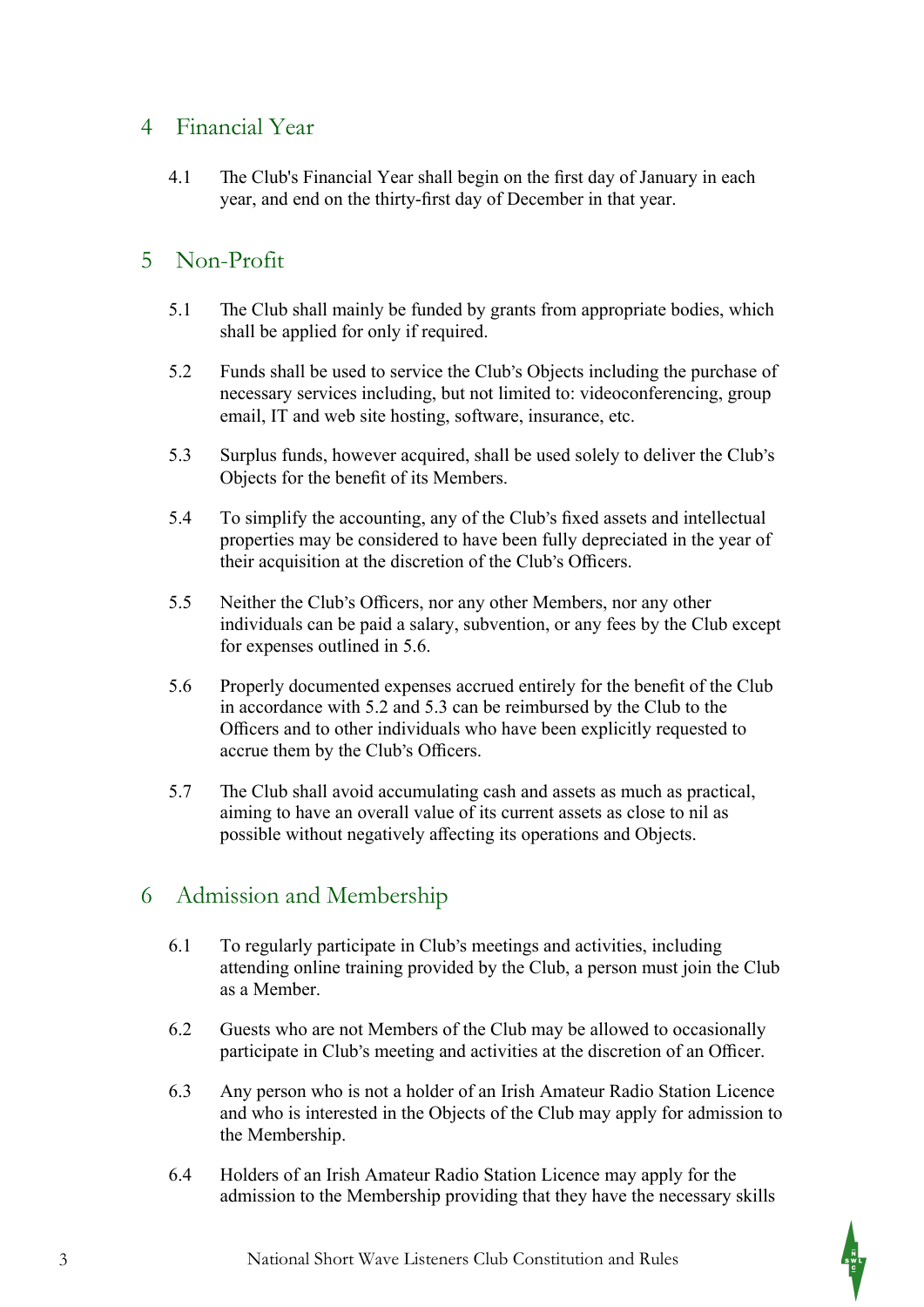#### 4 Financial Year

4.1 The Club's Financial Year shall begin on the first day of January in each year, and end on the thirty-first day of December in that year.

# 5 Non-Profit

- 5.1 The Club shall mainly be funded by grants from appropriate bodies, which shall be applied for only if required.
- 5.2 Funds shall be used to service the Club's Objects including the purchase of necessary services including, but not limited to: videoconferencing, group email, IT and web site hosting, software, insurance, etc.
- 5.3 Surplus funds, however acquired, shall be used solely to deliver the Club's Objects for the benefit of its Members.
- 5.4 To simplify the accounting, any of the Club's fixed assets and intellectual properties may be considered to have been fully depreciated in the year of their acquisition at the discretion of the Club's Officers.
- 5.5 Neither the Club's Officers, nor any other Members, nor any other individuals can be paid a salary, subvention, or any fees by the Club except for expenses outlined in 5.6.
- 5.6 Properly documented expenses accrued entirely for the benefit of the Club in accordance with 5.2 and 5.3 can be reimbursed by the Club to the Officers and to other individuals who have been explicitly requested to accrue them by the Club's Officers.
- 5.7 The Club shall avoid accumulating cash and assets as much as practical, aiming to have an overall value of its current assets as close to nil as possible without negatively affecting its operations and Objects.

# 6 Admission and Membership

- 6.1 To regularly participate in Club's meetings and activities, including attending online training provided by the Club, a person must join the Club as a Member.
- 6.2 Guests who are not Members of the Club may be allowed to occasionally participate in Club's meeting and activities at the discretion of an Officer.
- 6.3 Any person who is not a holder of an Irish Amateur Radio Station Licence and who is interested in the Objects of the Club may apply for admission to the Membership.
- 6.4 Holders of an Irish Amateur Radio Station Licence may apply for the admission to the Membership providing that they have the necessary skills

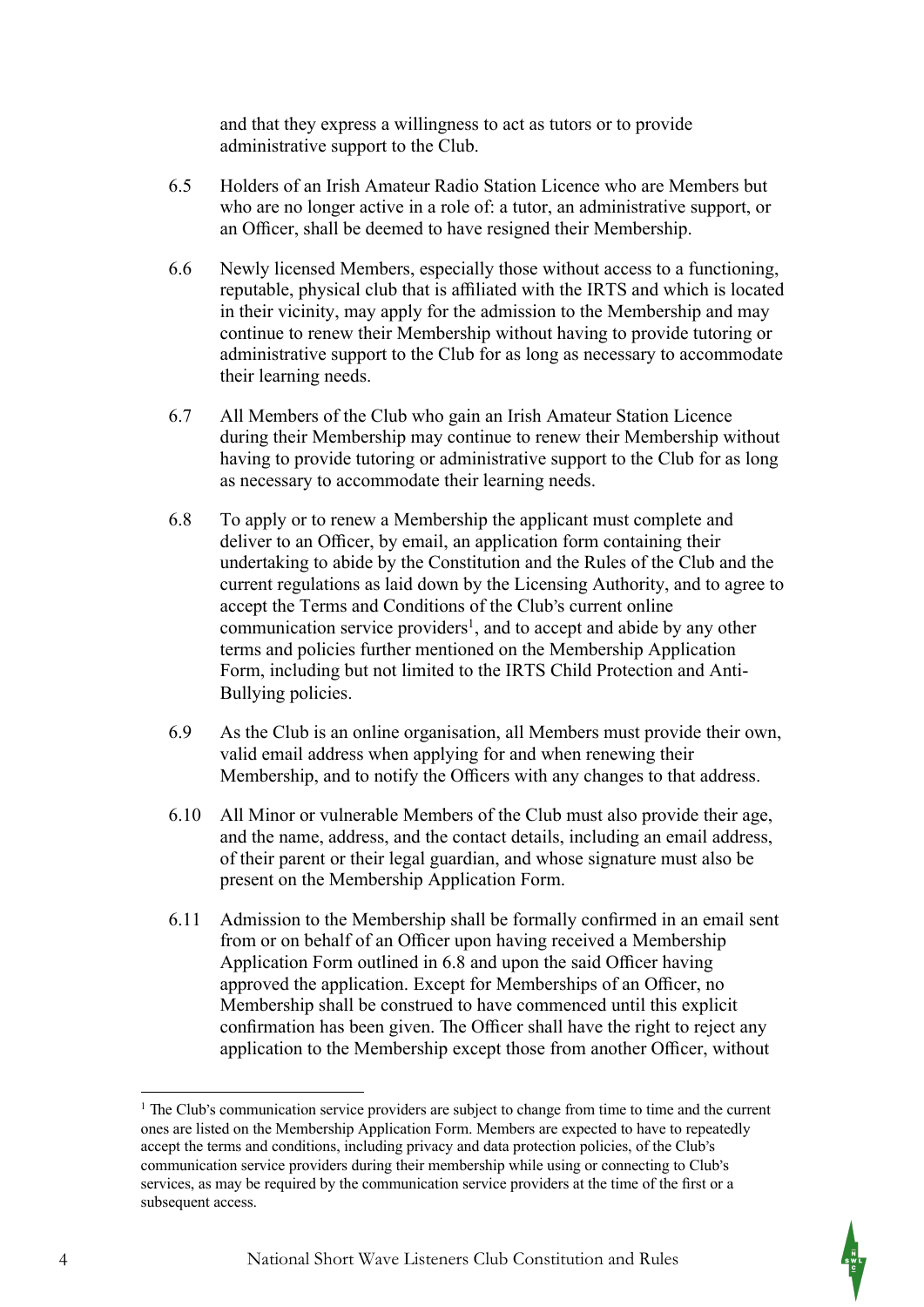and that they express a willingness to act as tutors or to provide administrative support to the Club.

- 6.5 Holders of an Irish Amateur Radio Station Licence who are Members but who are no longer active in a role of: a tutor, an administrative support, or an Officer, shall be deemed to have resigned their Membership.
- 6.6 Newly licensed Members, especially those without access to a functioning, reputable, physical club that is affiliated with the IRTS and which is located in their vicinity, may apply for the admission to the Membership and may continue to renew their Membership without having to provide tutoring or administrative support to the Club for as long as necessary to accommodate their learning needs.
- 6.7 All Members of the Club who gain an Irish Amateur Station Licence during their Membership may continue to renew their Membership without having to provide tutoring or administrative support to the Club for as long as necessary to accommodate their learning needs.
- 6.8 To apply or to renew a Membership the applicant must complete and deliver to an Officer, by email, an application form containing their undertaking to abide by the Constitution and the Rules of the Club and the current regulations as laid down by the Licensing Authority, and to agree to accept the Terms and Conditions of the Club's current online communication service providers<sup>1</sup>, and to accept and abide by any other terms and policies further mentioned on the Membership Application Form, including but not limited to the IRTS Child Protection and Anti-Bullying policies.
- 6.9 As the Club is an online organisation, all Members must provide their own, valid email address when applying for and when renewing their Membership, and to notify the Officers with any changes to that address.
- 6.10 All Minor or vulnerable Members of the Club must also provide their age, and the name, address, and the contact details, including an email address, of their parent or their legal guardian, and whose signature must also be present on the Membership Application Form.
- 6.11 Admission to the Membership shall be formally confirmed in an email sent from or on behalf of an Officer upon having received a Membership Application Form outlined in 6.8 and upon the said Officer having approved the application. Except for Memberships of an Officer, no Membership shall be construed to have commenced until this explicit confirmation has been given. The Officer shall have the right to reject any application to the Membership except those from another Officer, without

 $<sup>1</sup>$  The Club's communication service providers are subject to change from time to time and the current</sup> ones are listed on the Membership Application Form. Members are expected to have to repeatedly accept the terms and conditions, including privacy and data protection policies, of the Club's communication service providers during their membership while using or connecting to Club's services, as may be required by the communication service providers at the time of the first or a subsequent access.

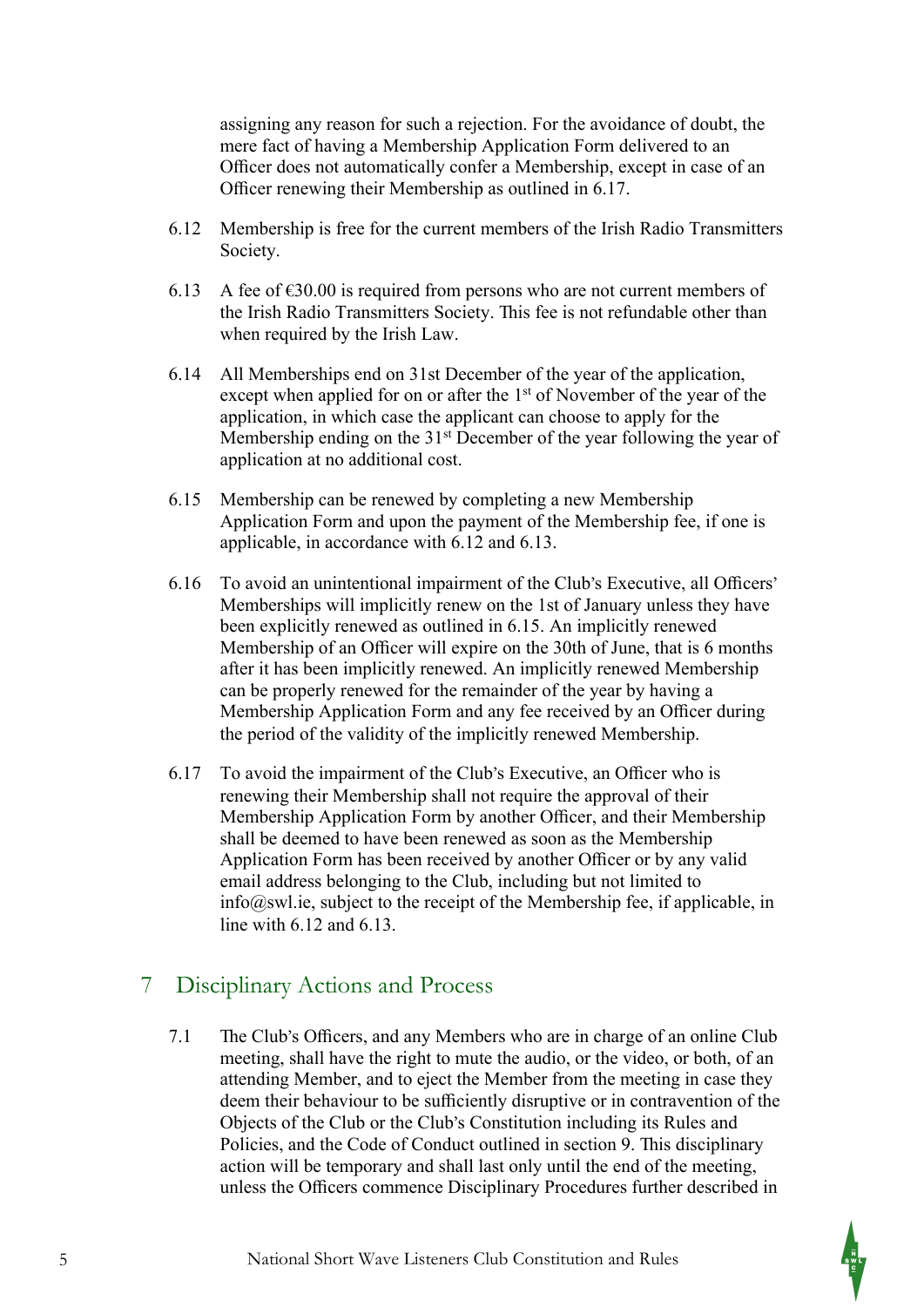assigning any reason for such a rejection. For the avoidance of doubt, the mere fact of having a Membership Application Form delivered to an Officer does not automatically confer a Membership, except in case of an Officer renewing their Membership as outlined in 6.17.

- 6.12 Membership is free for the current members of the Irish Radio Transmitters Society.
- 6.13 A fee of  $\epsilon$ 30.00 is required from persons who are not current members of the Irish Radio Transmitters Society. This fee is not refundable other than when required by the Irish Law.
- 6.14 All Memberships end on 31st December of the year of the application, except when applied for on or after the 1<sup>st</sup> of November of the year of the application, in which case the applicant can choose to apply for the Membership ending on the  $31<sup>st</sup>$  December of the year following the year of application at no additional cost.
- 6.15 Membership can be renewed by completing a new Membership Application Form and upon the payment of the Membership fee, if one is applicable, in accordance with 6.12 and 6.13.
- 6.16 To avoid an unintentional impairment of the Club's Executive, all Officers' Memberships will implicitly renew on the 1st of January unless they have been explicitly renewed as outlined in 6.15. An implicitly renewed Membership of an Officer will expire on the 30th of June, that is 6 months after it has been implicitly renewed. An implicitly renewed Membership can be properly renewed for the remainder of the year by having a Membership Application Form and any fee received by an Officer during the period of the validity of the implicitly renewed Membership.
- 6.17 To avoid the impairment of the Club's Executive, an Officer who is renewing their Membership shall not require the approval of their Membership Application Form by another Officer, and their Membership shall be deemed to have been renewed as soon as the Membership Application Form has been received by another Officer or by any valid email address belonging to the Club, including but not limited to info@swl.ie, subject to the receipt of the Membership fee, if applicable, in line with 6.12 and 6.13.

# 7 Disciplinary Actions and Process

7.1 The Club's Officers, and any Members who are in charge of an online Club meeting, shall have the right to mute the audio, or the video, or both, of an attending Member, and to eject the Member from the meeting in case they deem their behaviour to be sufficiently disruptive or in contravention of the Objects of the Club or the Club's Constitution including its Rules and Policies, and the Code of Conduct outlined in section 9. This disciplinary action will be temporary and shall last only until the end of the meeting, unless the Officers commence Disciplinary Procedures further described in

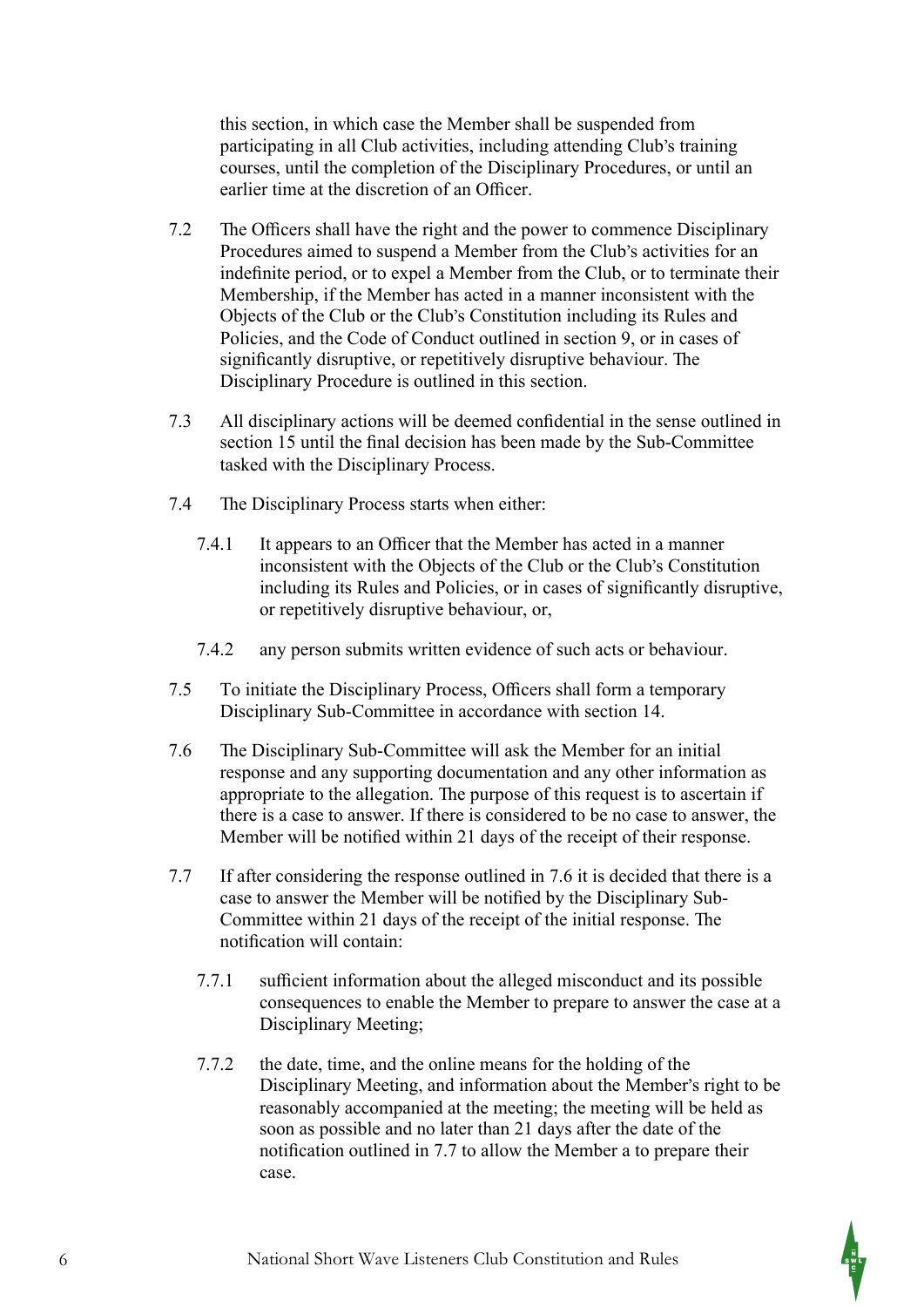this section, in which case the Member shall be suspended from participating in all Club activities, including attending Club's training courses, until the completion of the Disciplinary Procedures, or until an earlier time at the discretion of an Officer.

- 7.2 The Officers shall have the right and the power to commence Disciplinary Procedures aimed to suspend a Member from the Club's activities for an indefinite period, or to expel a Member from the Club, or to terminate their Membership, if the Member has acted in a manner inconsistent with the Objects of the Club or the Club's Constitution including its Rules and Policies, and the Code of Conduct outlined in section 9, or in cases of significantly disruptive, or repetitively disruptive behaviour. The Disciplinary Procedure is outlined in this section.
- 7.3 All disciplinary actions will be deemed confidential in the sense outlined in section 15 until the final decision has been made by the Sub-Committee tasked with the Disciplinary Process.
- 7.4 #e Disciplinary Process starts when either:
	- 7.4.1 It appears to an Officer that the Member has acted in a manner inconsistent with the Objects of the Club or the Club's Constitution including its Rules and Policies, or in cases of significantly disruptive, or repetitively disruptive behaviour, or,
	- 7.4.2 any person submits written evidence of such acts or behaviour.
- 7.5 To initiate the Disciplinary Process, Officers shall form a temporary Disciplinary Sub-Committee in accordance with section 14.
- 7.6 The Disciplinary Sub-Committee will ask the Member for an initial response and any supporting documentation and any other information as appropriate to the allegation. The purpose of this request is to ascertain if there is a case to answer. If there is considered to be no case to answer, the Member will be notified within 21 days of the receipt of their response.
- 7.7 If after considering the response outlined in 7.6 it is decided that there is a case to answer the Member will be notified by the Disciplinary Sub-Committee within 21 days of the receipt of the initial response. The notification will contain:
	- 7.7.1 sufficient information about the alleged misconduct and its possible consequences to enable the Member to prepare to answer the case at a Disciplinary Meeting;
	- 7.7.2 the date, time, and the online means for the holding of the Disciplinary Meeting, and information about the Member's right to be reasonably accompanied at the meeting; the meeting will be held as soon as possible and no later than 21 days after the date of the notification outlined in 7.7 to allow the Member a to prepare their case.

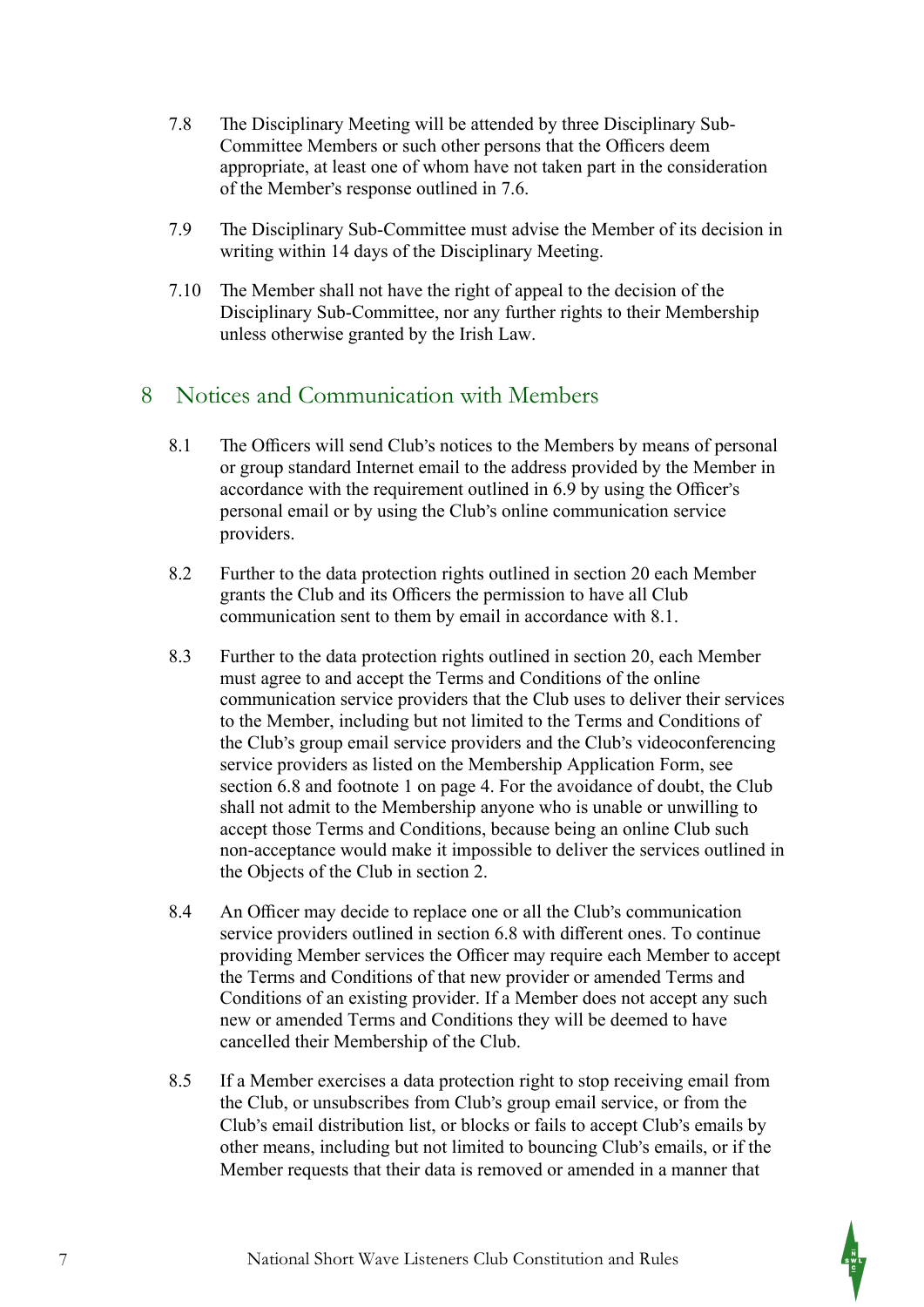- 7.8 The Disciplinary Meeting will be attended by three Disciplinary Sub-Committee Members or such other persons that the Officers deem appropriate, at least one of whom have not taken part in the consideration of the Member's response outlined in 7.6.
- 7.9 The Disciplinary Sub-Committee must advise the Member of its decision in writing within 14 days of the Disciplinary Meeting.
- $7.10$  The Member shall not have the right of appeal to the decision of the Disciplinary Sub-Committee, nor any further rights to their Membership unless otherwise granted by the Irish Law.

# 8 Notices and Communication with Members

- 8.1 The Officers will send Club's notices to the Members by means of personal or group standard Internet email to the address provided by the Member in accordance with the requirement outlined in 6.9 by using the Officer's personal email or by using the Club's online communication service providers.
- 8.2 Further to the data protection rights outlined in section 20 each Member grants the Club and its Officers the permission to have all Club communication sent to them by email in accordance with 8.1.
- 8.3 Further to the data protection rights outlined in section 20, each Member must agree to and accept the Terms and Conditions of the online communication service providers that the Club uses to deliver their services to the Member, including but not limited to the Terms and Conditions of the Club's group email service providers and the Club's videoconferencing service providers as listed on the Membership Application Form, see section 6.8 and footnote 1 on page 4. For the avoidance of doubt, the Club shall not admit to the Membership anyone who is unable or unwilling to accept those Terms and Conditions, because being an online Club such non-acceptance would make it impossible to deliver the services outlined in the Objects of the Club in section 2.
- 8.4 An Officer may decide to replace one or all the Club's communication service providers outlined in section 6.8 with different ones. To continue providing Member services the Officer may require each Member to accept the Terms and Conditions of that new provider or amended Terms and Conditions of an existing provider. If a Member does not accept any such new or amended Terms and Conditions they will be deemed to have cancelled their Membership of the Club.
- 8.5 If a Member exercises a data protection right to stop receiving email from the Club, or unsubscribes from Club's group email service, or from the Club's email distribution list, or blocks or fails to accept Club's emails by other means, including but not limited to bouncing Club's emails, or if the Member requests that their data is removed or amended in a manner that

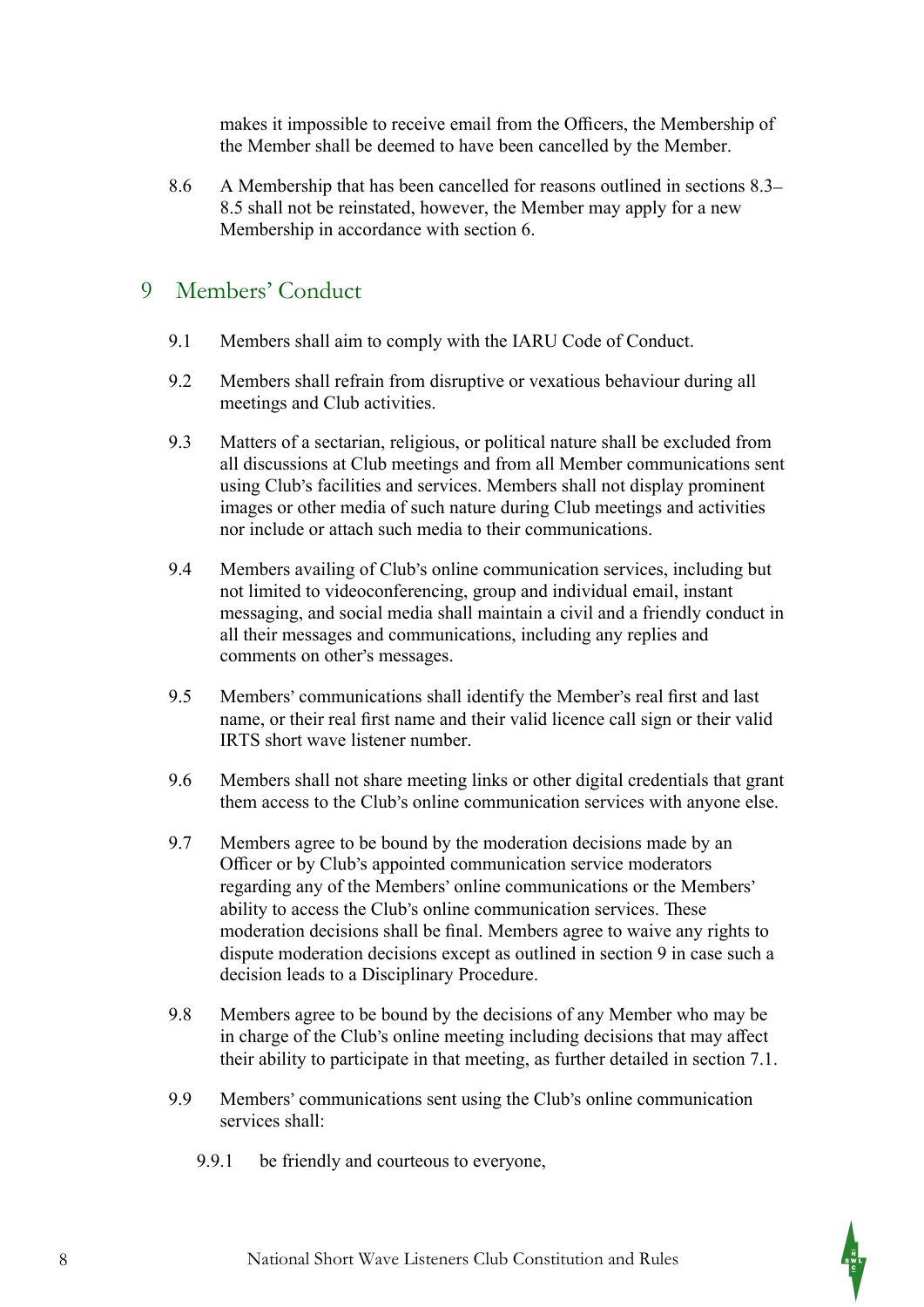makes it impossible to receive email from the Officers, the Membership of the Member shall be deemed to have been cancelled by the Member.

8.6 A Membership that has been cancelled for reasons outlined in sections 8.3– 8.5 shall not be reinstated, however, the Member may apply for a new Membership in accordance with section 6.

#### 9 Members' Conduct

- 9.1 Members shall aim to comply with the IARU Code of Conduct.
- 9.2 Members shall refrain from disruptive or vexatious behaviour during all meetings and Club activities.
- 9.3 Matters of a sectarian, religious, or political nature shall be excluded from all discussions at Club meetings and from all Member communications sent using Club's facilities and services. Members shall not display prominent images or other media of such nature during Club meetings and activities nor include or attach such media to their communications.
- 9.4 Members availing of Club's online communication services, including but not limited to videoconferencing, group and individual email, instant messaging, and social media shall maintain a civil and a friendly conduct in all their messages and communications, including any replies and comments on other's messages.
- 9.5 Members' communications shall identify the Member's real first and last name, or their real first name and their valid licence call sign or their valid IRTS short wave listener number.
- 9.6 Members shall not share meeting links or other digital credentials that grant them access to the Club's online communication services with anyone else.
- 9.7 Members agree to be bound by the moderation decisions made by an Officer or by Club's appointed communication service moderators regarding any of the Members' online communications or the Members' ability to access the Club's online communication services. These moderation decisions shall be final. Members agree to waive any rights to dispute moderation decisions except as outlined in section 9 in case such a decision leads to a Disciplinary Procedure.
- 9.8 Members agree to be bound by the decisions of any Member who may be in charge of the Club's online meeting including decisions that may affect their ability to participate in that meeting, as further detailed in section 7.1.
- 9.9 Members' communications sent using the Club's online communication services shall:
	- 9.9.1 be friendly and courteous to everyone,

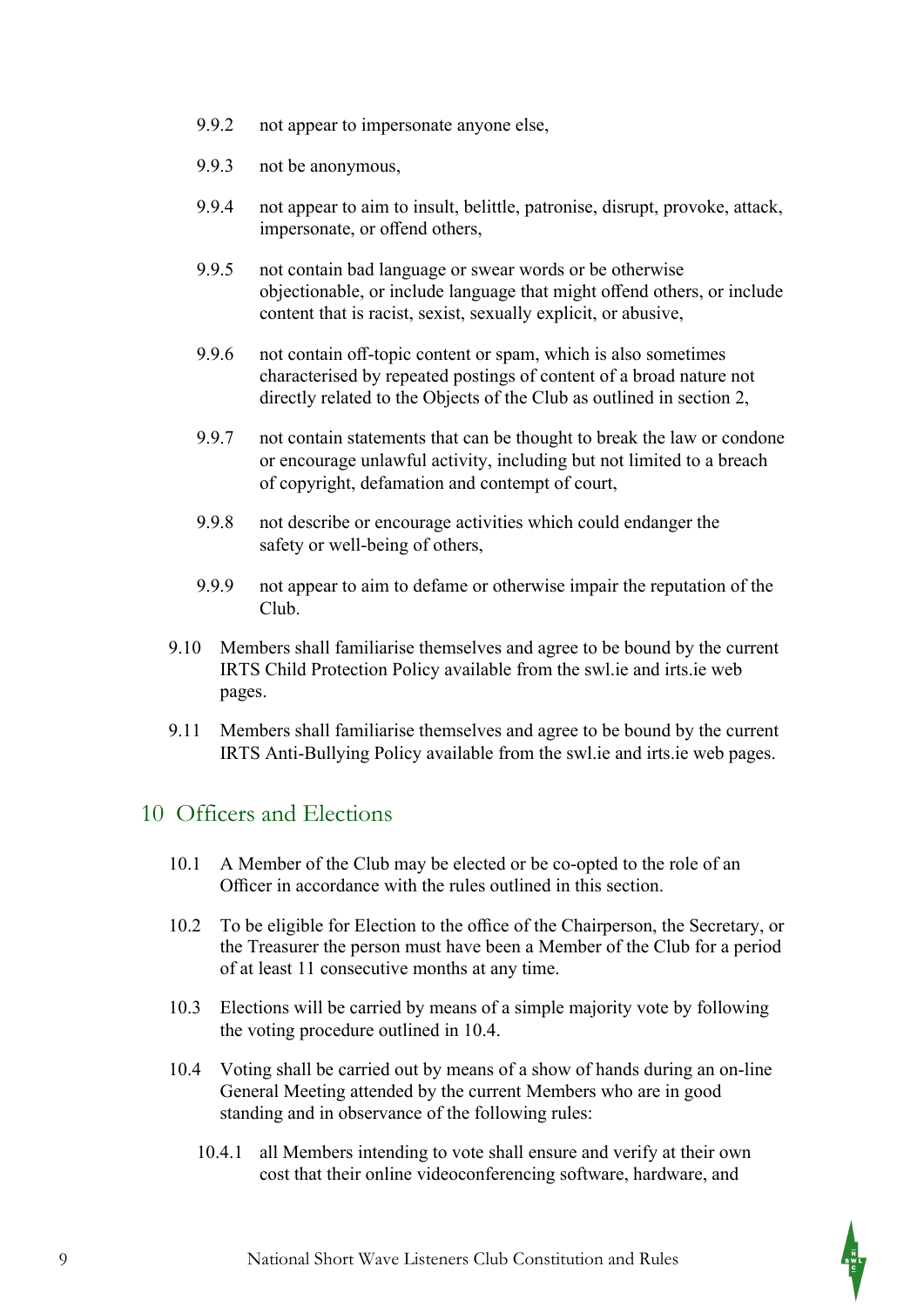- 9.9.2 not appear to impersonate anyone else,
- 9.9.3 not be anonymous,
- 9.9.4 not appear to aim to insult, belittle, patronise, disrupt, provoke, attack, impersonate, or offend others,
- 9.9.5 not contain bad language or swear words or be otherwise objectionable, or include language that might offend others, or include content that is racist, sexist, sexually explicit, or abusive,
- 9.9.6 not contain off-topic content or spam, which is also sometimes characterised by repeated postings of content of a broad nature not directly related to the Objects of the Club as outlined in section 2,
- 9.9.7 not contain statements that can be thought to break the law or condone or encourage unlawful activity, including but not limited to a breach of copyright, defamation and contempt of court,
- 9.9.8 not describe or encourage activities which could endanger the safety or well-being of others,
- 9.9.9 not appear to aim to defame or otherwise impair the reputation of the Club.
- 9.10 Members shall familiarise themselves and agree to be bound by the current IRTS Child Protection Policy available from the swl.ie and irts.ie web pages.
- 9.11 Members shall familiarise themselves and agree to be bound by the current IRTS Anti-Bullying Policy available from the swl.ie and irts.ie web pages.

#### 10 Officers and Elections

- 10.1 A Member of the Club may be elected or be co-opted to the role of an Officer in accordance with the rules outlined in this section.
- 10.2 To be eligible for Election to the office of the Chairperson, the Secretary, or the Treasurer the person must have been a Member of the Club for a period of at least 11 consecutive months at any time.
- 10.3 Elections will be carried by means of a simple majority vote by following the voting procedure outlined in 10.4.
- 10.4 Voting shall be carried out by means of a show of hands during an on-line General Meeting attended by the current Members who are in good standing and in observance of the following rules:
	- 10.4.1 all Members intending to vote shall ensure and verify at their own cost that their online videoconferencing software, hardware, and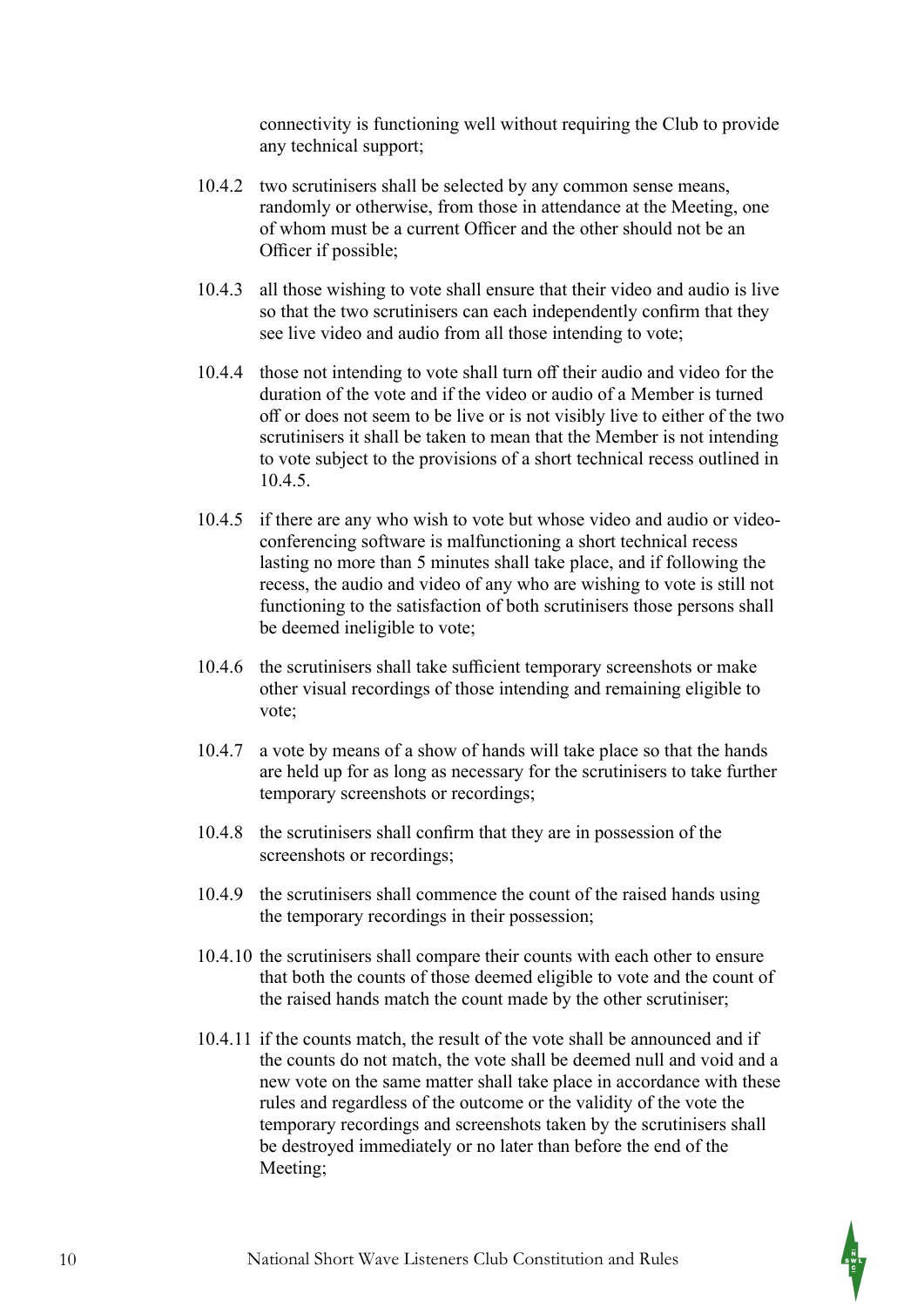connectivity is functioning well without requiring the Club to provide any technical support;

- 10.4.2 two scrutinisers shall be selected by any common sense means, randomly or otherwise, from those in attendance at the Meeting, one of whom must be a current Officer and the other should not be an Officer if possible;
- 10.4.3 all those wishing to vote shall ensure that their video and audio is live so that the two scrutinisers can each independently confirm that they see live video and audio from all those intending to vote;
- 10.4.4 those not intending to vote shall turn off their audio and video for the duration of the vote and if the video or audio of a Member is turned off or does not seem to be live or is not visibly live to either of the two scrutinisers it shall be taken to mean that the Member is not intending to vote subject to the provisions of a short technical recess outlined in 10.4.5.
- 10.4.5 if there are any who wish to vote but whose video and audio or videoconferencing software is malfunctioning a short technical recess lasting no more than 5 minutes shall take place, and if following the recess, the audio and video of any who are wishing to vote is still not functioning to the satisfaction of both scrutinisers those persons shall be deemed ineligible to vote;
- 10.4.6 the scrutinisers shall take sufficient temporary screenshots or make other visual recordings of those intending and remaining eligible to vote;
- 10.4.7 a vote by means of a show of hands will take place so that the hands are held up for as long as necessary for the scrutinisers to take further temporary screenshots or recordings;
- 10.4.8 the scrutinisers shall confirm that they are in possession of the screenshots or recordings;
- 10.4.9 the scrutinisers shall commence the count of the raised hands using the temporary recordings in their possession;
- 10.4.10 the scrutinisers shall compare their counts with each other to ensure that both the counts of those deemed eligible to vote and the count of the raised hands match the count made by the other scrutiniser;
- 10.4.11 if the counts match, the result of the vote shall be announced and if the counts do not match, the vote shall be deemed null and void and a new vote on the same matter shall take place in accordance with these rules and regardless of the outcome or the validity of the vote the temporary recordings and screenshots taken by the scrutinisers shall be destroyed immediately or no later than before the end of the Meeting;

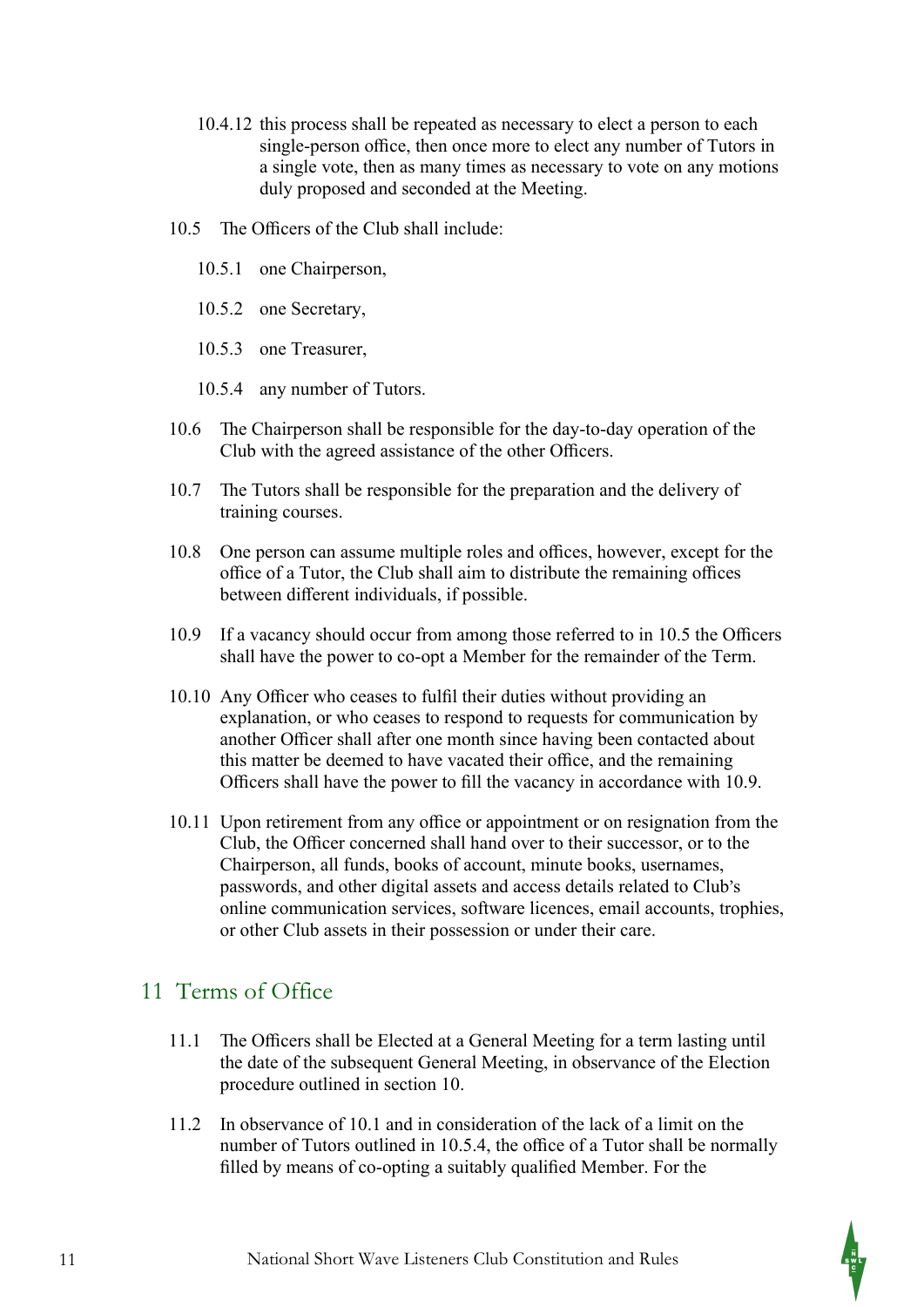- 10.4.12 this process shall be repeated as necessary to elect a person to each single-person office, then once more to elect any number of Tutors in a single vote, then as many times as necessary to vote on any motions duly proposed and seconded at the Meeting.
- 10.5 The Officers of the Club shall include:
	- 10.5.1 one Chairperson,
	- 10.5.2 one Secretary,
	- 10.5.3 one Treasurer,
	- 10.5.4 any number of Tutors.
- 10.6 The Chairperson shall be responsible for the day-to-day operation of the Club with the agreed assistance of the other Officers.
- 10.7 The Tutors shall be responsible for the preparation and the delivery of training courses.
- 10.8 One person can assume multiple roles and offices, however, except for the office of a Tutor, the Club shall aim to distribute the remaining offices between different individuals, if possible.
- 10.9 If a vacancy should occur from among those referred to in 10.5 the Officers shall have the power to co-opt a Member for the remainder of the Term.
- 10.10 Any Officer who ceases to fulfil their duties without providing an explanation, or who ceases to respond to requests for communication by another Officer shall after one month since having been contacted about this matter be deemed to have vacated their office, and the remaining Officers shall have the power to fill the vacancy in accordance with 10.9.
- 10.11 Upon retirement from any office or appointment or on resignation from the Club, the Officer concerned shall hand over to their successor, or to the Chairperson, all funds, books of account, minute books, usernames, passwords, and other digital assets and access details related to Club's online communication services, software licences, email accounts, trophies, or other Club assets in their possession or under their care.

# 11 Terms of Office

- 11.1 The Officers shall be Elected at a General Meeting for a term lasting until the date of the subsequent General Meeting, in observance of the Election procedure outlined in section 10.
- 11.2 In observance of 10.1 and in consideration of the lack of a limit on the number of Tutors outlined in 10.5.4, the office of a Tutor shall be normally filled by means of co-opting a suitably qualified Member. For the

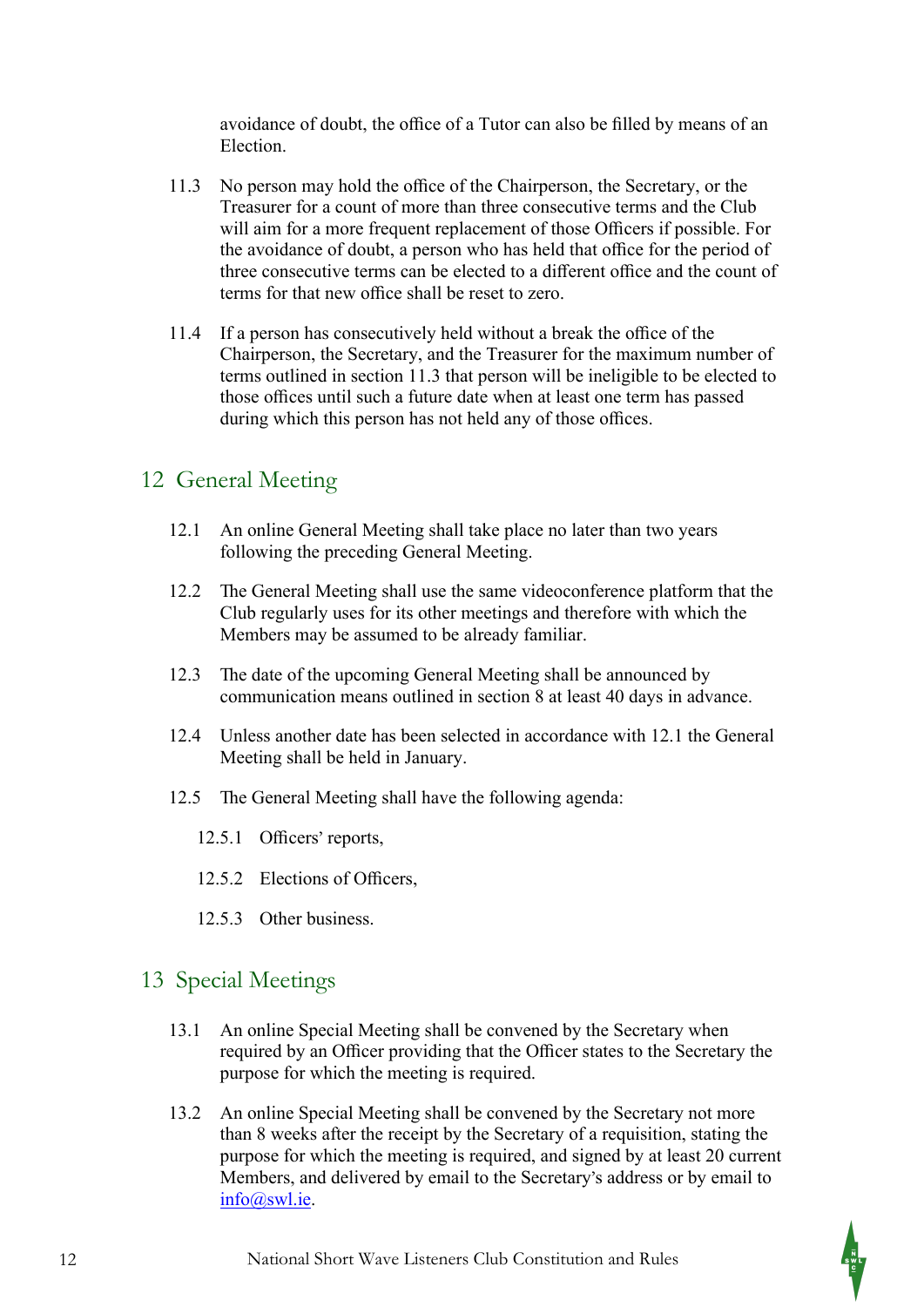avoidance of doubt, the office of a Tutor can also be filled by means of an Election.

- 11.3 No person may hold the office of the Chairperson, the Secretary, or the Treasurer for a count of more than three consecutive terms and the Club will aim for a more frequent replacement of those Officers if possible. For the avoidance of doubt, a person who has held that office for the period of three consecutive terms can be elected to a different office and the count of terms for that new office shall be reset to zero.
- 11.4 If a person has consecutively held without a break the office of the Chairperson, the Secretary, and the Treasurer for the maximum number of terms outlined in section 11.3 that person will be ineligible to be elected to those offices until such a future date when at least one term has passed during which this person has not held any of those offices.

# 12 General Meeting

- 12.1 An online General Meeting shall take place no later than two years following the preceding General Meeting.
- 12.2 The General Meeting shall use the same videoconference platform that the Club regularly uses for its other meetings and therefore with which the Members may be assumed to be already familiar.
- 12.3 The date of the upcoming General Meeting shall be announced by communication means outlined in section 8 at least 40 days in advance.
- 12.4 Unless another date has been selected in accordance with 12.1 the General Meeting shall be held in January.
- 12.5 The General Meeting shall have the following agenda:
	- 12.5.1 Officers' reports,
	- 12.5.2 Elections of Officers,
	- 12.5.3 Other business.

# 13 Special Meetings

- 13.1 An online Special Meeting shall be convened by the Secretary when required by an Officer providing that the Officer states to the Secretary the purpose for which the meeting is required.
- 13.2 An online Special Meeting shall be convened by the Secretary not more than 8 weeks after the receipt by the Secretary of a requisition, stating the purpose for which the meeting is required, and signed by at least 20 current Members, and delivered by email to the Secretary's address or by email to info@swl.ie.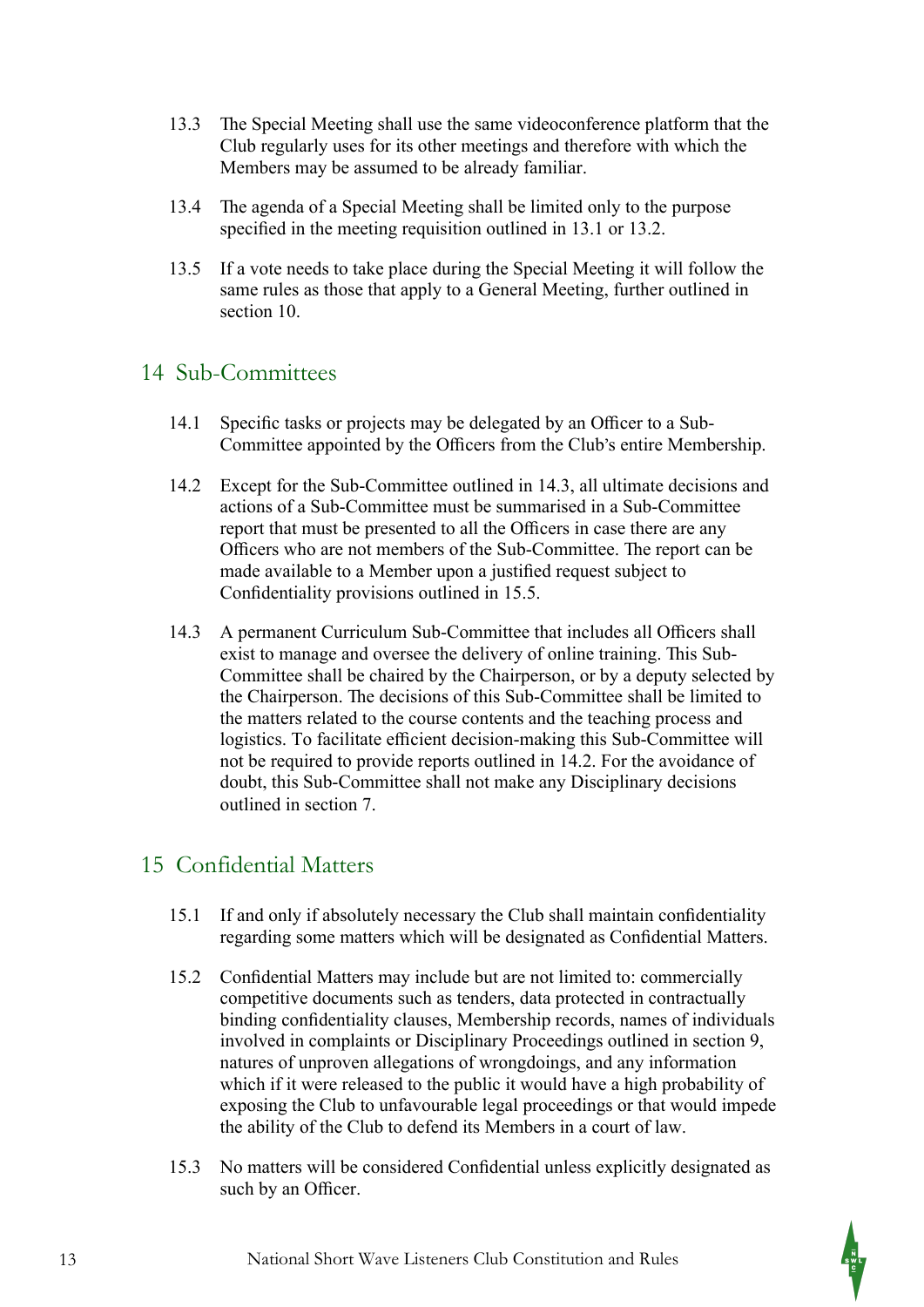- 13.3 The Special Meeting shall use the same videoconference platform that the Club regularly uses for its other meetings and therefore with which the Members may be assumed to be already familiar.
- 13.4 The agenda of a Special Meeting shall be limited only to the purpose specified in the meeting requisition outlined in 13.1 or 13.2.
- 13.5 If a vote needs to take place during the Special Meeting it will follow the same rules as those that apply to a General Meeting, further outlined in section 10.

#### 14 Sub-Committees

- 14.1 Specific tasks or projects may be delegated by an Officer to a Sub-Committee appointed by the Officers from the Club's entire Membership.
- 14.2 Except for the Sub-Committee outlined in 14.3, all ultimate decisions and actions of a Sub-Committee must be summarised in a Sub-Committee report that must be presented to all the Officers in case there are any Officers who are not members of the Sub-Committee. The report can be made available to a Member upon a justified request subject to Confidentiality provisions outlined in 15.5.
- 14.3 A permanent Curriculum Sub-Committee that includes all Officers shall exist to manage and oversee the delivery of online training. This Sub-Committee shall be chaired by the Chairperson, or by a deputy selected by the Chairperson. The decisions of this Sub-Committee shall be limited to the matters related to the course contents and the teaching process and logistics. To facilitate efficient decision-making this Sub-Committee will not be required to provide reports outlined in 14.2. For the avoidance of doubt, this Sub-Committee shall not make any Disciplinary decisions outlined in section 7.

# 15 Confidential Matters

- 15.1 If and only if absolutely necessary the Club shall maintain confidentiality regarding some matters which will be designated as Confidential Matters.
- 15.2 Confidential Matters may include but are not limited to: commercially competitive documents such as tenders, data protected in contractually binding confidentiality clauses, Membership records, names of individuals involved in complaints or Disciplinary Proceedings outlined in section 9, natures of unproven allegations of wrongdoings, and any information which if it were released to the public it would have a high probability of exposing the Club to unfavourable legal proceedings or that would impede the ability of the Club to defend its Members in a court of law.
- 15.3 No matters will be considered Confidential unless explicitly designated as such by an Officer.

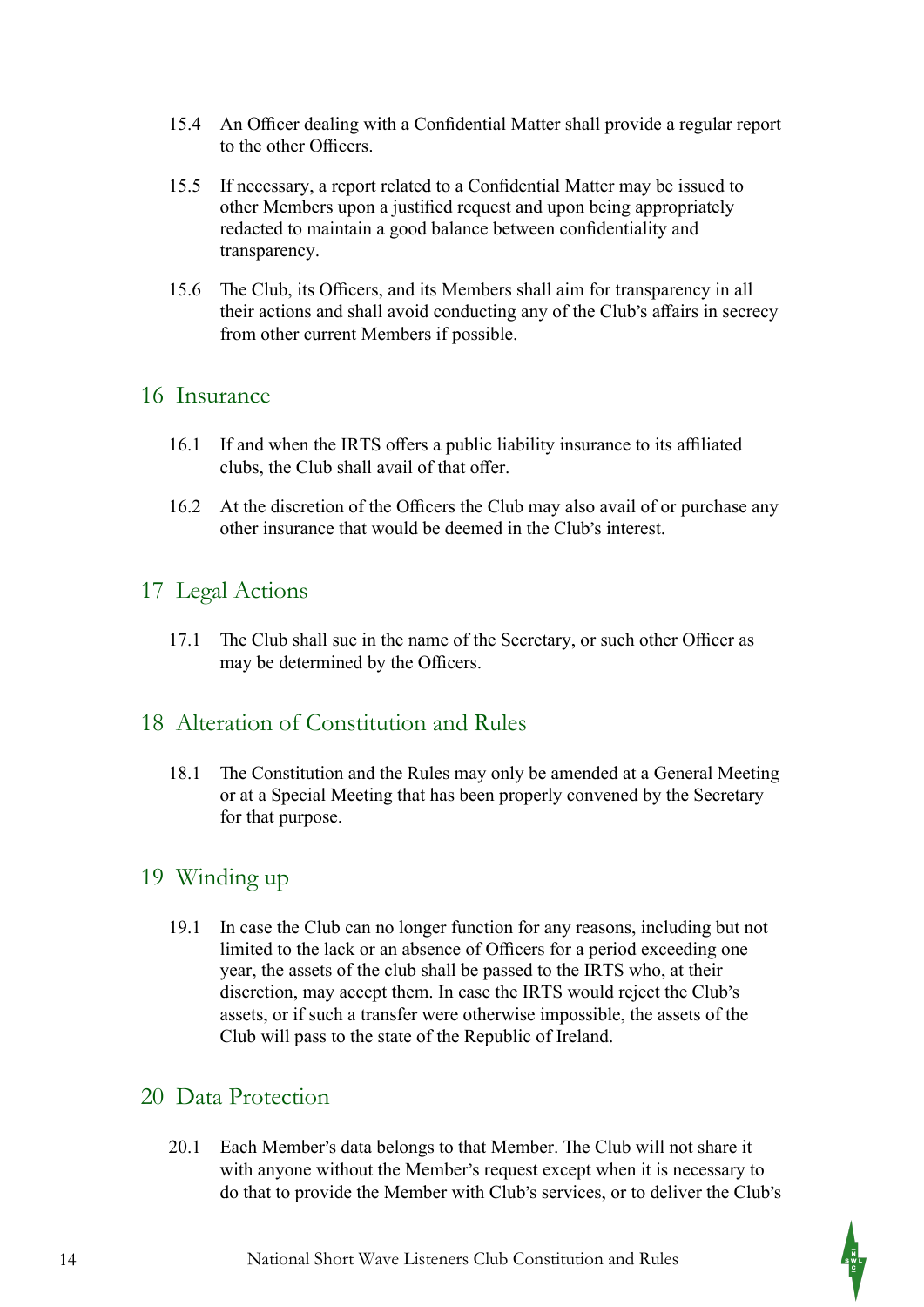- 15.4 An Officer dealing with a Confidential Matter shall provide a regular report to the other Officers.
- 15.5 If necessary, a report related to a Confidential Matter may be issued to other Members upon a justified request and upon being appropriately redacted to maintain a good balance between confidentiality and transparency.
- 15.6 The Club, its Officers, and its Members shall aim for transparency in all their actions and shall avoid conducting any of the Club's affairs in secrecy from other current Members if possible.

#### 16 Insurance

- 16.1 If and when the IRTS offers a public liability insurance to its affiliated clubs, the Club shall avail of that offer.
- 16.2 At the discretion of the Officers the Club may also avail of or purchase any other insurance that would be deemed in the Club's interest.

# 17 Legal Actions

17.1 The Club shall sue in the name of the Secretary, or such other Officer as may be determined by the Officers.

#### 18 Alteration of Constitution and Rules

18.1 The Constitution and the Rules may only be amended at a General Meeting or at a Special Meeting that has been properly convened by the Secretary for that purpose.

#### 19 Winding up

19.1 In case the Club can no longer function for any reasons, including but not limited to the lack or an absence of Officers for a period exceeding one year, the assets of the club shall be passed to the IRTS who, at their discretion, may accept them. In case the IRTS would reject the Club's assets, or if such a transfer were otherwise impossible, the assets of the Club will pass to the state of the Republic of Ireland.

#### 20 Data Protection

20.1 Each Member's data belongs to that Member. The Club will not share it with anyone without the Member's request except when it is necessary to do that to provide the Member with Club's services, or to deliver the Club's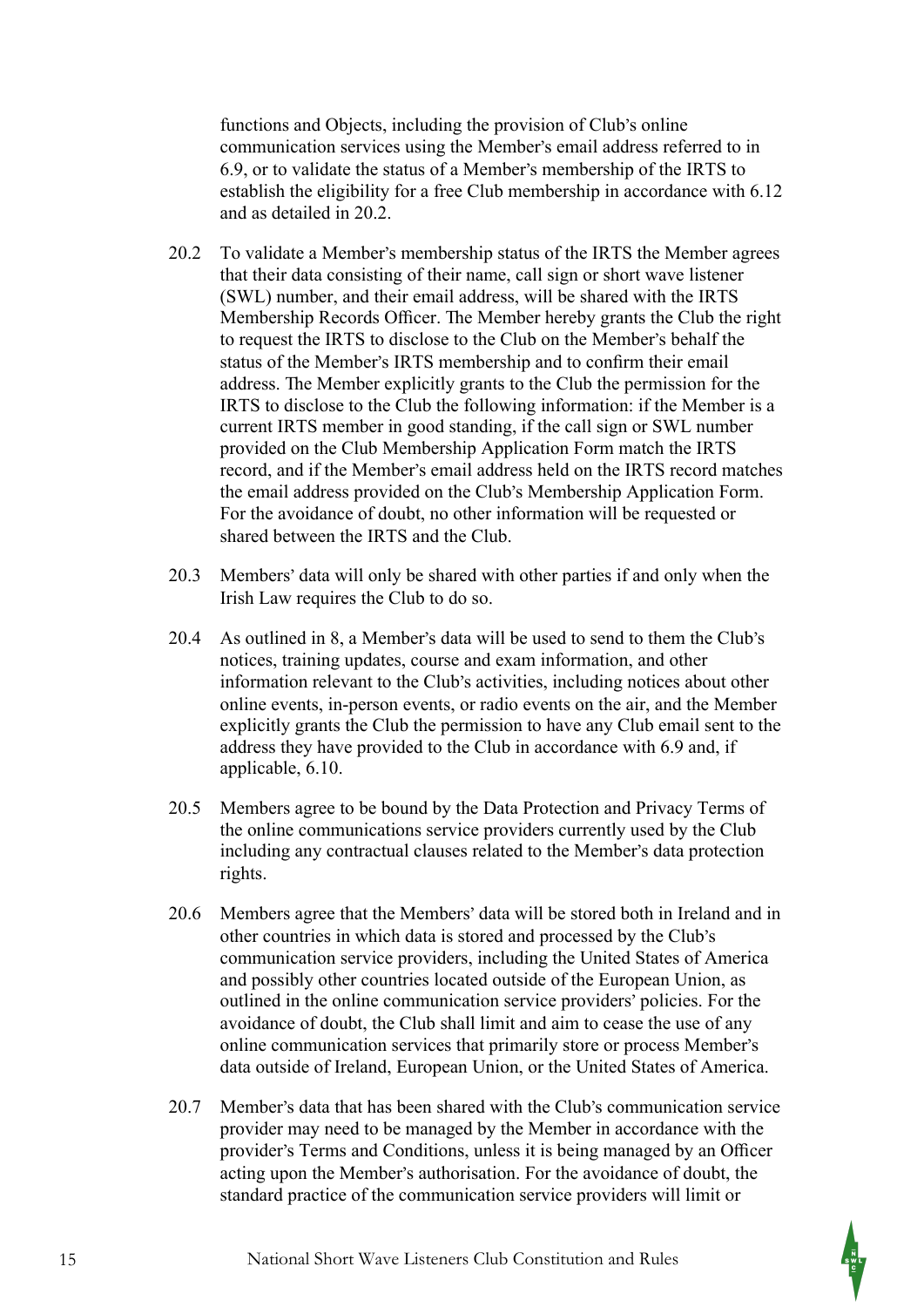functions and Objects, including the provision of Club's online communication services using the Member's email address referred to in 6.9, or to validate the status of a Member's membership of the IRTS to establish the eligibility for a free Club membership in accordance with 6.12 and as detailed in 20.2.

- 20.2 To validate a Member's membership status of the IRTS the Member agrees that their data consisting of their name, call sign or short wave listener (SWL) number, and their email address, will be shared with the IRTS Membership Records Officer. The Member hereby grants the Club the right to request the IRTS to disclose to the Club on the Member's behalf the status of the Member's IRTS membership and to confirm their email address. The Member explicitly grants to the Club the permission for the IRTS to disclose to the Club the following information: if the Member is a current IRTS member in good standing, if the call sign or SWL number provided on the Club Membership Application Form match the IRTS record, and if the Member's email address held on the IRTS record matches the email address provided on the Club's Membership Application Form. For the avoidance of doubt, no other information will be requested or shared between the IRTS and the Club.
- 20.3 Members' data will only be shared with other parties if and only when the Irish Law requires the Club to do so.
- 20.4 As outlined in 8, a Member's data will be used to send to them the Club's notices, training updates, course and exam information, and other information relevant to the Club's activities, including notices about other online events, in-person events, or radio events on the air, and the Member explicitly grants the Club the permission to have any Club email sent to the address they have provided to the Club in accordance with 6.9 and, if applicable, 6.10.
- 20.5 Members agree to be bound by the Data Protection and Privacy Terms of the online communications service providers currently used by the Club including any contractual clauses related to the Member's data protection rights.
- 20.6 Members agree that the Members' data will be stored both in Ireland and in other countries in which data is stored and processed by the Club's communication service providers, including the United States of America and possibly other countries located outside of the European Union, as outlined in the online communication service providers' policies. For the avoidance of doubt, the Club shall limit and aim to cease the use of any online communication services that primarily store or process Member's data outside of Ireland, European Union, or the United States of America.
- 20.7 Member's data that has been shared with the Club's communication service provider may need to be managed by the Member in accordance with the provider's Terms and Conditions, unless it is being managed by an Officer acting upon the Member's authorisation. For the avoidance of doubt, the standard practice of the communication service providers will limit or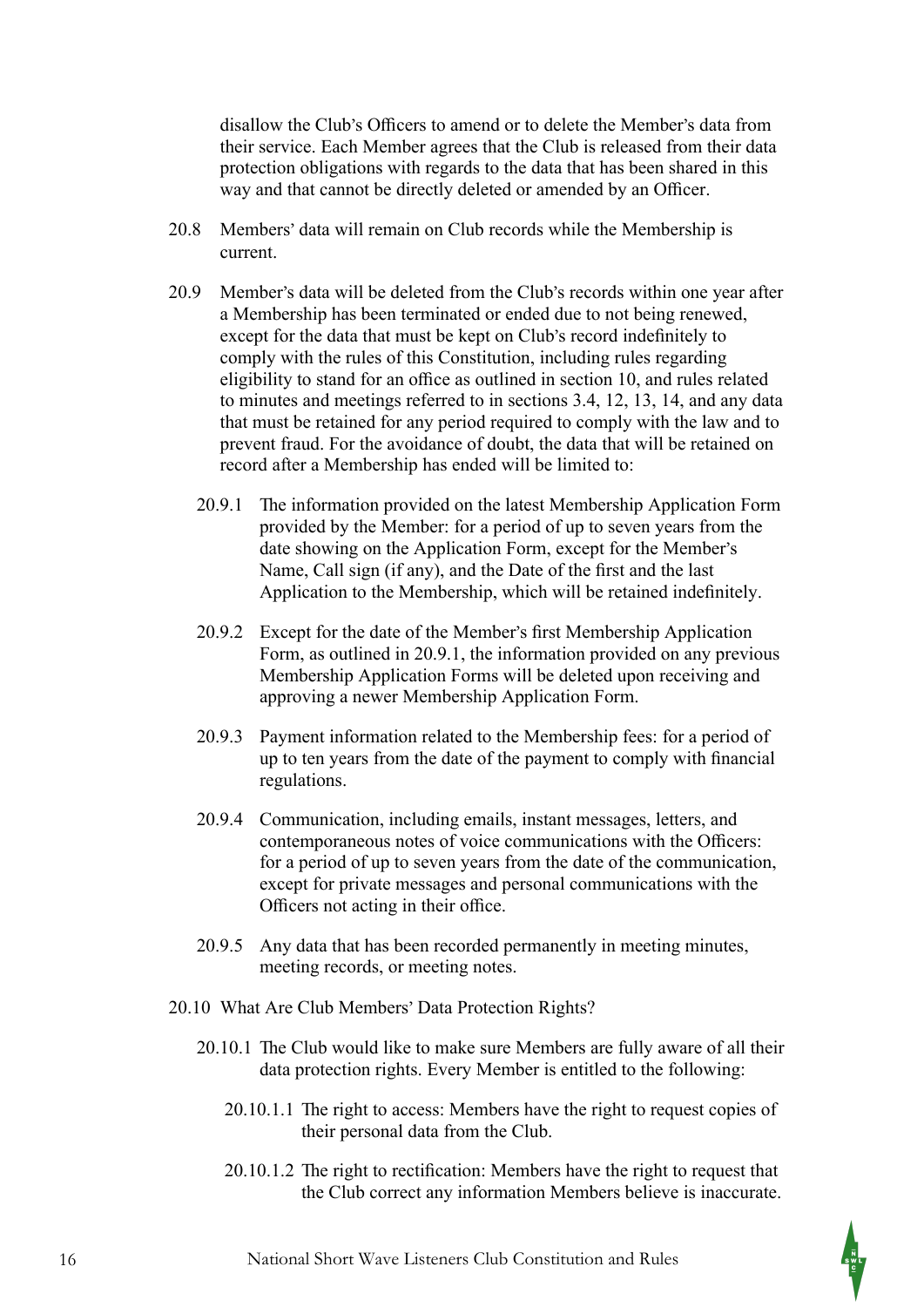disallow the Club's Officers to amend or to delete the Member's data from their service. Each Member agrees that the Club is released from their data protection obligations with regards to the data that has been shared in this way and that cannot be directly deleted or amended by an Officer.

- 20.8 Members' data will remain on Club records while the Membership is current.
- 20.9 Member's data will be deleted from the Club's records within one year after a Membership has been terminated or ended due to not being renewed, except for the data that must be kept on Club's record indefinitely to comply with the rules of this Constitution, including rules regarding eligibility to stand for an office as outlined in section 10, and rules related to minutes and meetings referred to in sections 3.4, 12, 13, 14, and any data that must be retained for any period required to comply with the law and to prevent fraud. For the avoidance of doubt, the data that will be retained on record after a Membership has ended will be limited to:
	- 20.9.1 The information provided on the latest Membership Application Form provided by the Member: for a period of up to seven years from the date showing on the Application Form, except for the Member's Name, Call sign (if any), and the Date of the first and the last Application to the Membership, which will be retained indefinitely.
	- 20.9.2 Except for the date of the Member's first Membership Application Form, as outlined in 20.9.1, the information provided on any previous Membership Application Forms will be deleted upon receiving and approving a newer Membership Application Form.
	- 20.9.3 Payment information related to the Membership fees: for a period of up to ten years from the date of the payment to comply with financial regulations.
	- 20.9.4 Communication, including emails, instant messages, letters, and contemporaneous notes of voice communications with the Officers: for a period of up to seven years from the date of the communication, except for private messages and personal communications with the Officers not acting in their office.
	- 20.9.5 Any data that has been recorded permanently in meeting minutes, meeting records, or meeting notes.
- 20.10 What Are Club Members' Data Protection Rights?
	- 20.10.1 The Club would like to make sure Members are fully aware of all their data protection rights. Every Member is entitled to the following:
		- 20.10.1.1 The right to access: Members have the right to request copies of their personal data from the Club.
		- $20.10.1.2$  The right to rectification: Members have the right to request that the Club correct any information Members believe is inaccurate.